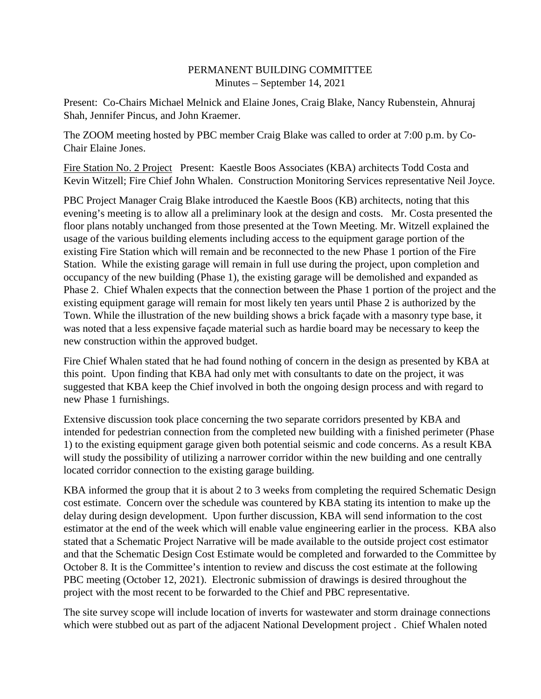## PERMANENT BUILDING COMMITTEE Minutes – September 14, 2021

Present: Co-Chairs Michael Melnick and Elaine Jones, Craig Blake, Nancy Rubenstein, Ahnuraj Shah, Jennifer Pincus, and John Kraemer.

The ZOOM meeting hosted by PBC member Craig Blake was called to order at 7:00 p.m. by Co-Chair Elaine Jones.

Fire Station No. 2 Project Present: Kaestle Boos Associates (KBA) architects Todd Costa and Kevin Witzell; Fire Chief John Whalen. Construction Monitoring Services representative Neil Joyce.

PBC Project Manager Craig Blake introduced the Kaestle Boos (KB) architects, noting that this evening's meeting is to allow all a preliminary look at the design and costs. Mr. Costa presented the floor plans notably unchanged from those presented at the Town Meeting. Mr. Witzell explained the usage of the various building elements including access to the equipment garage portion of the existing Fire Station which will remain and be reconnected to the new Phase 1 portion of the Fire Station. While the existing garage will remain in full use during the project, upon completion and occupancy of the new building (Phase 1), the existing garage will be demolished and expanded as Phase 2. Chief Whalen expects that the connection between the Phase 1 portion of the project and the existing equipment garage will remain for most likely ten years until Phase 2 is authorized by the Town. While the illustration of the new building shows a brick façade with a masonry type base, it was noted that a less expensive façade material such as hardie board may be necessary to keep the new construction within the approved budget.

Fire Chief Whalen stated that he had found nothing of concern in the design as presented by KBA at this point. Upon finding that KBA had only met with consultants to date on the project, it was suggested that KBA keep the Chief involved in both the ongoing design process and with regard to new Phase 1 furnishings.

Extensive discussion took place concerning the two separate corridors presented by KBA and intended for pedestrian connection from the completed new building with a finished perimeter (Phase 1) to the existing equipment garage given both potential seismic and code concerns. As a result KBA will study the possibility of utilizing a narrower corridor within the new building and one centrally located corridor connection to the existing garage building.

KBA informed the group that it is about 2 to 3 weeks from completing the required Schematic Design cost estimate. Concern over the schedule was countered by KBA stating its intention to make up the delay during design development. Upon further discussion, KBA will send information to the cost estimator at the end of the week which will enable value engineering earlier in the process. KBA also stated that a Schematic Project Narrative will be made available to the outside project cost estimator and that the Schematic Design Cost Estimate would be completed and forwarded to the Committee by October 8. It is the Committee's intention to review and discuss the cost estimate at the following PBC meeting (October 12, 2021). Electronic submission of drawings is desired throughout the project with the most recent to be forwarded to the Chief and PBC representative.

The site survey scope will include location of inverts for wastewater and storm drainage connections which were stubbed out as part of the adjacent National Development project . Chief Whalen noted